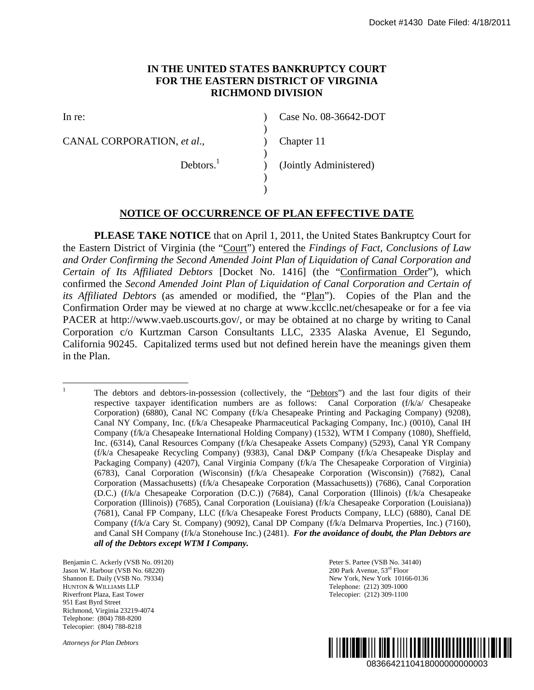# **IN THE UNITED STATES BANKRUPTCY COURT FOR THE EASTERN DISTRICT OF VIRGINIA RICHMOND DIVISION**

 $\lambda$ )  $\mathcal{L}$ )  $\overline{)}$  $\mathcal{L}$  $\lambda$ 

In re:

CANAL CORPORATION, *et al*.,

Case No. 08-36642-DOT

Chapter 11

Debtors.<sup>1</sup>

(Jointly Administered)

### **NOTICE OF OCCURRENCE OF PLAN EFFECTIVE DATE**

**PLEASE TAKE NOTICE** that on April 1, 2011, the United States Bankruptcy Court for the Eastern District of Virginia (the "Court") entered the *Findings of Fact, Conclusions of Law and Order Confirming the Second Amended Joint Plan of Liquidation of Canal Corporation and Certain of Its Affiliated Debtors* [Docket No. 1416] (the "Confirmation Order"), which confirmed the *Second Amended Joint Plan of Liquidation of Canal Corporation and Certain of its Affiliated Debtors* (as amended or modified, the "Plan"). Copies of the Plan and the Confirmation Order may be viewed at no charge at www.kccllc.net/chesapeake or for a fee via PACER at http://www.vaeb.uscourts.gov/, or may be obtained at no charge by writing to Canal Corporation c/o Kurtzman Carson Consultants LLC, 2335 Alaska Avenue, El Segundo, California 90245. Capitalized terms used but not defined herein have the meanings given them in the Plan.

Benjamin C. Ackerly (VSB No. 09120) Jason W. Harbour (VSB No. 68220) Shannon E. Daily (VSB No. 79334) HUNTON & WILLIAMS LLP Riverfront Plaza, East Tower 951 East Byrd Street Richmond, Virginia 23219-4074 Telephone: (804) 788-8200 Telecopier: (804) 788-8218

*Attorneys for Plan Debtors* 

Peter S. Partee (VSB No. 34140) 200 Park Avenue, 53rd Floor New York, New York 10166-0136 Telephone: (212) 309-1000 Telecopier: (212) 309-1100



 $\frac{1}{1}$ The debtors and debtors-in-possession (collectively, the "Debtors") and the last four digits of their respective taxpayer identification numbers are as follows: Canal Corporation (f/k/a/ Chesapeake Corporation) (6880), Canal NC Company (f/k/a Chesapeake Printing and Packaging Company) (9208), Canal NY Company, Inc. (f/k/a Chesapeake Pharmaceutical Packaging Company, Inc.) (0010), Canal IH Company (f/k/a Chesapeake International Holding Company) (1532), WTM I Company (1080), Sheffield, Inc. (6314), Canal Resources Company (f/k/a Chesapeake Assets Company) (5293), Canal YR Company (f/k/a Chesapeake Recycling Company) (9383), Canal D&P Company (f/k/a Chesapeake Display and Packaging Company) (4207), Canal Virginia Company (f/k/a The Chesapeake Corporation of Virginia) (6783), Canal Corporation (Wisconsin) (f/k/a Chesapeake Corporation (Wisconsin)) (7682), Canal Corporation (Massachusetts) (f/k/a Chesapeake Corporation (Massachusetts)) (7686), Canal Corporation (D.C.) (f/k/a Chesapeake Corporation (D.C.)) (7684), Canal Corporation (Illinois) (f/k/a Chesapeake Corporation (Illinois)) (7685), Canal Corporation (Louisiana) (f/k/a Chesapeake Corporation (Louisiana)) (7681), Canal FP Company, LLC (f/k/a Chesapeake Forest Products Company, LLC) (6880), Canal DE Company (f/k/a Cary St. Company) (9092), Canal DP Company (f/k/a Delmarva Properties, Inc.) (7160), and Canal SH Company (f/k/a Stonehouse Inc.) (2481). *For the avoidance of doubt, the Plan Debtors are all of the Debtors except WTM I Company.* 0836642110418000000000003 Docket #1430 Date Filed: 4/18/2011